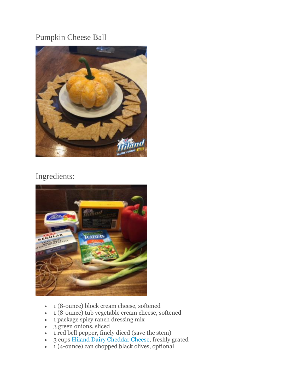## Pumpkin Cheese Ball



## Ingredients:



- 1 (8-ounce) block cream cheese, softened
- 1 (8-ounce) tub vegetable cream cheese, softened
- 1 package spicy ranch dressing mix
- $\bullet$  3 green onions, sliced
- 1 red bell pepper, finely diced (save the stem)
- 3 cups [Hiland Dairy Cheddar Cheese,](http://hilanddairy.com/products/cheeses/) freshly grated
- $\bullet$  1 (4-ounce) can chopped black olives, optional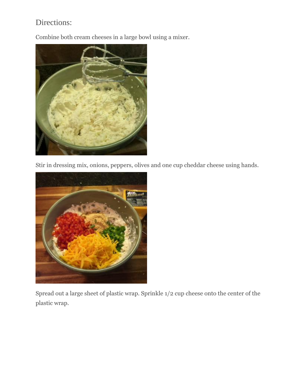## Directions:

Combine both cream cheeses in a large bowl using a mixer.



Stir in dressing mix, onions, peppers, olives and one cup cheddar cheese using hands.



Spread out a large sheet of plastic wrap. Sprinkle 1/2 cup cheese onto the center of the plastic wrap.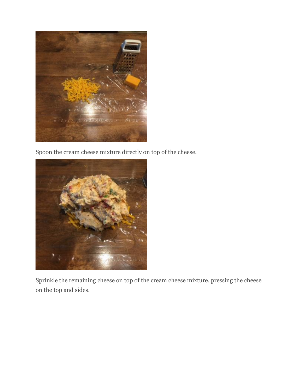

Spoon the cream cheese mixture directly on top of the cheese.



Sprinkle the remaining cheese on top of the cream cheese mixture, pressing the cheese on the top and sides.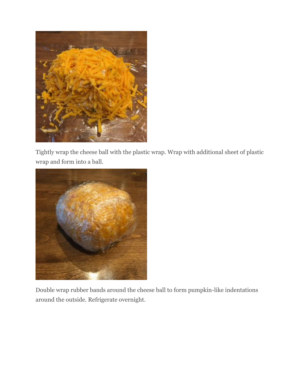

Tightly wrap the cheese ball with the plastic wrap. Wrap with additional sheet of plastic wrap and form into a ball.



Double wrap rubber bands around the cheese ball to form pumpkin-like indentations around the outside. Refrigerate overnight.